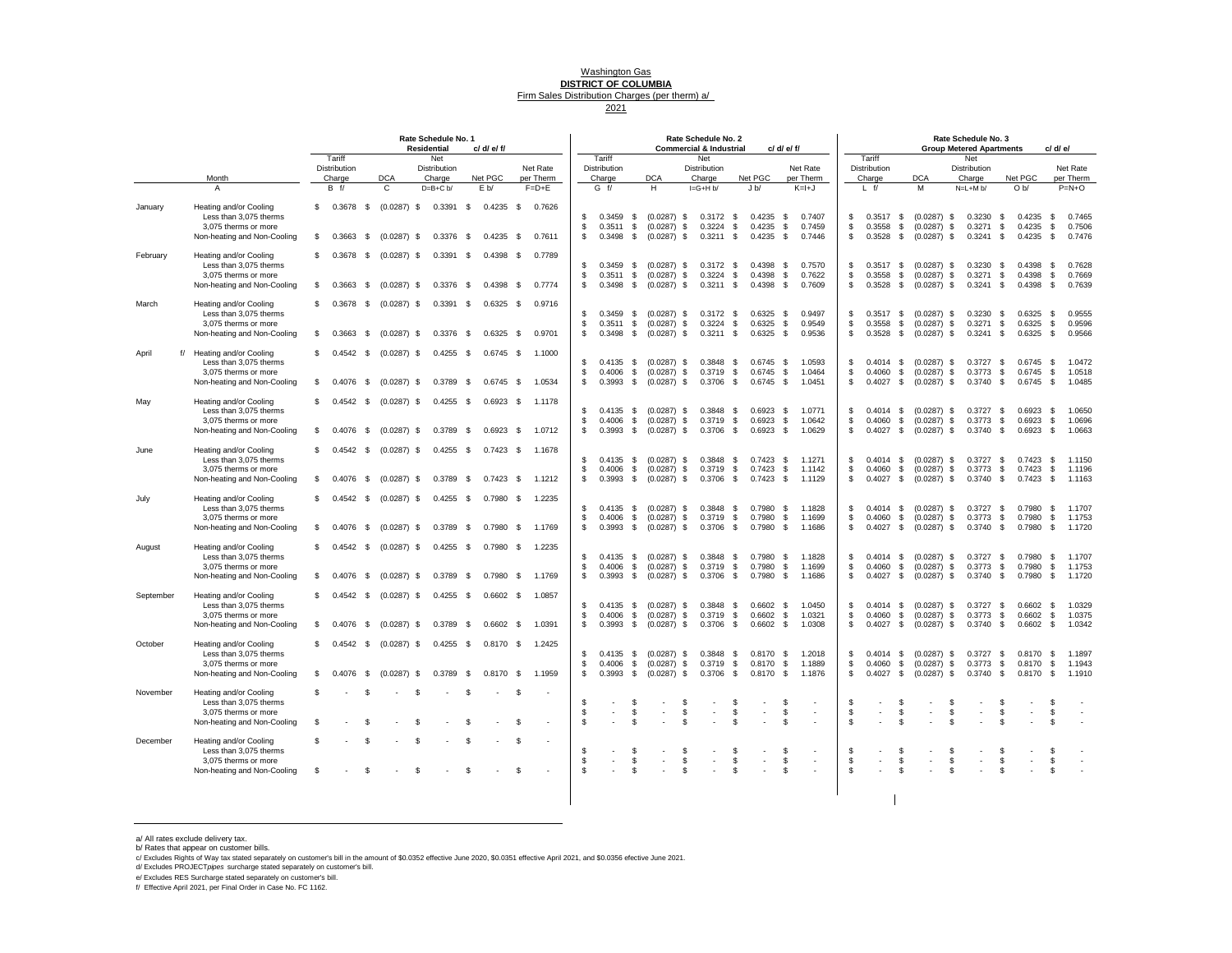### Washington Gas **DISTRICT OF COLUMBIA** Firm Sales Distribution Charges (per therm) a/ 2021

|           |                                                                                                         |                                   |              |                                | Rate Schedule No. 1<br><b>Residential</b> |              | c/ d/ e/ f/                |                          |                |                                      |                |                                                           |                 | Rate Schedule No. 2<br><b>Commercial &amp; Industrial</b> |                  |                                 | c/ d/ e/ f/        |                            |                    |                                      |                    |                                                             |              | Rate Schedule No. 3<br><b>Group Metered Apartments</b> |                  | c/ d/ e/                             |                          |                            |
|-----------|---------------------------------------------------------------------------------------------------------|-----------------------------------|--------------|--------------------------------|-------------------------------------------|--------------|----------------------------|--------------------------|----------------|--------------------------------------|----------------|-----------------------------------------------------------|-----------------|-----------------------------------------------------------|------------------|---------------------------------|--------------------|----------------------------|--------------------|--------------------------------------|--------------------|-------------------------------------------------------------|--------------|--------------------------------------------------------|------------------|--------------------------------------|--------------------------|----------------------------|
|           |                                                                                                         | Tariff<br>Distribution            |              |                                | Net<br>Distribution                       |              |                            | Net Rate                 |                | Tariff<br>Distribution               |                |                                                           |                 | Net<br>Distribution                                       |                  |                                 |                    | Net Rate                   |                    | Tariff<br>Distribution               |                    |                                                             |              | Net<br><b>Distribution</b>                             |                  |                                      |                          | Net Rate                   |
|           | Month<br>A                                                                                              | Charge<br>B f                     |              | <b>DCA</b><br>C                | Charge<br>$D=B+C b/$                      |              | Net PGC<br>E b/            | per Therm<br>$F = D + E$ |                | Charge<br>$G$ f/                     |                | <b>DCA</b><br>H                                           |                 | Charge<br>$I = G + H b$                                   |                  | Net PGC<br>J <sub>b</sub>       |                    | per Therm<br>$K=H+J$       |                    | Charge<br>$L$ f/                     |                    | <b>DCA</b><br>M                                             |              | Charge<br>$N=L+M b/$                                   |                  | Net PGC<br>O <sub>b</sub>            |                          | per Therm<br>$P=N+O$       |
| January   | Heating and/or Cooling<br>Less than 3.075 therms<br>3,075 therms or more<br>Non-heating and Non-Cooling | $$0.3678$ \$<br>0.3663<br>£.      | \$           | $(0.0287)$ \$<br>(0.0287)      | $0.3391$ \$<br>\$<br>0.3376               | \$           | $0.4235$ \$<br>0.4235      | 0.7626<br>-S<br>0.7611   | S.<br>\$<br>\$ | $0.3459$ \$<br>$0.3511$ \$<br>0.3498 | \$             | $(0.0287)$ \$ 0.3172 \$<br>$(0.0287)$ \$<br>$(0.0287)$ \$ |                 | 0.3224<br>0.3211                                          | \$<br>\$         | 0.4235<br>0.4235<br>0.4235      | -S<br>\$<br>\$     | 0.7407<br>0.7459<br>0.7446 | \$<br>\$<br>\$     | 0.3517 S<br>0.3558<br>0.3528         | S.<br>-S           | $(0.0287)$ \$<br>$(0.0287)$ \$<br>$(0.0287)$ \$             |              | 0.3230 S<br>0.3271<br>0.3241                           | S.<br>S.         | $0.4235$ \$<br>0.4235<br>0.4235      | - \$<br>\$               | 0.7465<br>0.7506<br>0.7476 |
| February  | Heating and/or Cooling<br>Less than 3,075 therms<br>3,075 therms or more                                | £.<br>0.3678                      | - \$         | $(0.0287)$ \$                  | 0.3391                                    | \$           | $0.4398$ \$                | 0.7789                   | \$<br>\$       | $0.3459$ \$<br>$0.3511$ \$           |                | $(0.0287)$ \$<br>(0.0287)                                 |                 | $0.3172$ \$<br>0.3224                                     | \$               | 0.4398<br>0.4398                | \$<br>\$           | 0.7570<br>0.7622           | \$<br>\$           | $0.3517$ \$<br>0.3558                | S.                 | $(0.0287)$ \$<br>$(0.0287)$ \$                              |              | 0.3230<br>0.3271                                       | <b>S</b><br>-S   | 0.4398<br>0.4398                     | \$<br>- \$               | 0.7628<br>0.7669           |
|           | Non-heating and Non-Cooling                                                                             | 0.3663<br>-S.                     | - \$         | $(0.0287)$ \$                  | $0.3376$ \$                               |              | $0.4398$ \$                | 0.7774                   | s.             | 0.3498                               | \$             | $(0.0287)$ \$                                             | S.              | 0.3211                                                    | - \$             | 0.4398                          | - \$               | 0.7609                     | \$                 | 0.3528                               | S.                 | $(0.0287)$ \$                                               |              | 0.3241                                                 | -S               | 0.4398                               | - \$                     | 0.7639                     |
| March     | Heating and/or Cooling<br>Less than 3,075 therms<br>3.075 therms or more                                | \$<br>$0.3678$ \$                 |              | $(0.0287)$ \$                  | $0.3391$ \$                               |              | $0.6325$ \$                | 0.9716                   | \$<br>S        | $0.3459$ \$<br>$0.3511$ \$           |                | $(0.0287)$ \$ 0.3172 \$<br>$(0.0287)$ \$                  |                 | 0.3224                                                    | - \$             | 0.6325<br>0.6325                | \$<br>S.           | 0.9497<br>0.9549           | \$<br>\$           | $0.3517$ \$<br>0.3558                | -S                 | $(0.0287)$ \$<br>$(0.0287)$ \$                              |              | $0.3230$ \$<br>0.3271                                  | -S               | $0.6325$ \$<br>0.6325                | - \$                     | 0.9555<br>0.9596           |
| April     | Non-heating and Non-Cooling<br>f/ Heating and/or Cooling                                                | 0.3663<br>s.<br>0.4542<br>£.      | - \$<br>- \$ | $(0.0287)$ \$<br>(0.0287)      | $0.3376$ \$<br>0.4255<br>- \$             | \$           | $0.6325$ \$<br>0.6745 S    | 0.9701<br>1.1000         | S              | 0.3498                               | - \$           | $(0.0287)$ \$                                             |                 | 0.3211                                                    | - \$             | 0.6325                          | \$                 | 0.9536                     | \$                 | 0.3528                               | -S                 | $(0.0287)$ \$                                               |              | 0.3241                                                 | -S               | 0.6325                               | <b>S</b>                 | 0.9566                     |
|           | Less than 3,075 therms<br>3.075 therms or more<br>Non-heating and Non-Cooling                           | 0.4076<br>£.                      | \$           | $(0.0287)$ \$                  | 0.3789                                    | - \$         | $0.6745$ \$                | 1.0534                   | S.<br>S<br>\$  | $0.4135$ \$<br>0.4006<br>0.3993      | \$<br>\$       | $(0.0287)$ \$ 0.3848 \$<br>$(0.0287)$ \$<br>$(0.0287)$ \$ |                 | 0.3719<br>0.3706                                          | - \$<br>\$       | $0.6745$ \$<br>0.6745<br>0.6745 | - \$<br>\$         | 1.0593<br>1.0464<br>1.0451 | \$<br>s.<br>\$     | 0.4060<br>$0.4027$ \$                | S.                 | $0.4014$ \$ $(0.0287)$ \$<br>$(0.0287)$ \$<br>$(0.0287)$ \$ |              | $0.3727$ \$<br>0.3773<br>$0.3740$ \$                   | S.               | $0.6745$ \$<br>0.6745<br>$0.6745$ \$ | - \$                     | 1.0472<br>1.0518<br>1.0485 |
| May       | Heating and/or Cooling<br>Less than 3.075 therms<br>3,075 therms or more                                | $0.4542$ \$                       |              | $(0.0287)$ \$                  | $0.4255$ \$                               |              | $0.6923$ \$                | 1.1178                   | S<br>\$        | $0.4135$ \$<br>$0.4006$ \$           |                | $(0.0287)$ \$<br>$(0.0287)$ \$                            |                 | 0.3848<br>0.3719                                          | <b>S</b><br>- \$ | 0.6923<br>0.6923                | -S<br>S.           | 1.0771<br>1.0642           | S.<br>\$           | $0.4014$ \$<br>0.4060                | S.                 | $(0.0287)$ \$<br>$(0.0287)$ \$                              |              | 0.3727 S<br>0.3773                                     | -S               | $0.6923$ \$<br>0.6923                | - \$                     | 1.0650<br>1.0696           |
| June      | Non-heating and Non-Cooling<br>Heating and/or Cooling                                                   | £.<br>0.4076<br>0.4542<br>-S.     | - \$<br>- \$ | $(0.0287)$ \$<br>(0.0287)      | 0.3789<br>0.4255<br>\$                    | - \$<br>- \$ | $0.6923$ \$<br>$0.7423$ \$ | 1.0712<br>1.1678         | \$             | $0.3993$ \$                          |                | $(0.0287)$ \$                                             |                 | $0.3706$ \$                                               |                  | $0.6923$ \$                     |                    | 1.0629                     | \$                 | $0.4027$ \$                          |                    | $(0.0287)$ \$                                               |              | 0.3740 S                                               |                  | $0.6923$ \$                          |                          | 1.0663                     |
|           | Less than 3,075 therms<br>3,075 therms or more<br>Non-heating and Non-Cooling                           | -S.                               | $0.4076$ \$  | $(0.0287)$ \$                  | $0.3789$ \$                               |              | $0.7423$ \$                | 1.1212                   | \$<br>S.<br>S. | $0.4135$ \$<br>0.4006<br>$0.3993$ \$ | \$             | $(0.0287)$ \$<br>$(0.0287)$ \$<br>$(0.0287)$ \$           |                 | 0.3848<br>0.3719<br>0.3706                                | \$<br>\$<br>\$   | 0.7423<br>0.7423<br>$0.7423$ \$ | \$<br>\$           | 1.1271<br>1.1142<br>1.1129 | \$<br>\$<br>\$     | $0.4014$ \$<br>0.4060<br>$0.4027$ \$ | S.                 | $(0.0287)$ \$<br>$(0.0287)$ \$<br>$(0.0287)$ \$             |              | 0.3727<br>0.3773<br>$0.3740$ \$                        | -S<br><b>S</b>   | 0.7423<br>0.7423<br>$0.7423$ \$      | \$<br>$\mathbf{s}$       | 1.1150<br>1.1196<br>1.1163 |
| July      | Heating and/or Cooling<br>Less than 3,075 therms<br>3,075 therms or more<br>Non-heating and Non-Cooling | £.<br>$0.4076$ \$<br>S.           | $0.4542$ \$  | $(0.0287)$ \$<br>$(0.0287)$ \$ | $0.4255$ \$<br>$0.3789$ \$                |              | $0.7980$ \$<br>$0.7980$ \$ | 1.2235<br>1.1769         | \$<br>S.<br>s. | $0.4135$ \$<br>0.4006<br>$0.3993$ \$ | \$             | $(0.0287)$ \$<br>(0.0287)<br>$(0.0287)$ \$                | S.              | 0.3848<br>0.3719<br>0.3706                                | \$<br>-S<br>- \$ | 0.7980<br>0.7980<br>0.7980      | - \$<br>S.<br>-S   | 1.1828<br>1.1699<br>1.1686 | \$<br>\$<br>\$     | $0.4014$ \$<br>0.4060<br>0.4027      | -S<br><b>S</b>     | $(0.0287)$ \$<br>$(0.0287)$ \$<br>$(0.0287)$ \$             |              | 0.3727<br>0.3773<br>0.3740                             | - \$<br>-S<br>S. | 0.7980<br>0.7980<br>0.7980           | \$<br>-S<br>- \$         | 1.1707<br>1.1753<br>1.1720 |
| August    | Heating and/or Cooling                                                                                  | £.                                | $0.4542$ \$  | $(0.0287)$ \$                  | $0.4255$ \$                               |              | $0.7980$ \$                | 1.2235                   |                |                                      |                |                                                           |                 |                                                           |                  |                                 |                    |                            |                    |                                      |                    |                                                             |              |                                                        |                  |                                      |                          |                            |
|           | Less than 3,075 therms<br>3,075 therms or more<br>Non-heating and Non-Cooling                           | 0.4076<br>-S.                     | - \$         | (0.0287)                       | 0.3789<br>\$                              | \$           | 0.7980                     | -S<br>1.1769             | \$<br>S.<br>\$ | $0.4135$ \$<br>0.4006<br>0.3993      | <b>S</b><br>\$ | $(0.0287)$ \$<br>$(0.0287)$ \$<br>$(0.0287)$ \$           |                 | $0.3848$ \$<br>0.3719<br>0.3706                           | - \$<br>\$       | 0.7980<br>0.7980<br>0.7980      | - \$<br>- \$<br>\$ | 1.1828<br>1.1699<br>1.1686 | \$<br>\$<br>\$     | $0.4014$ \$<br>0.4060<br>0.4027      | -S<br>S.           | $(0.0287)$ \$<br>$(0.0287)$ \$<br>$(0.0287)$ \$             |              | $0.3727$ \$<br>0.3773<br>0.3740                        | S.<br><b>S</b>   | $0.7980$ \$<br>0.7980<br>0.7980      | - \$<br>\$               | 1.1707<br>1.1753<br>1.1720 |
| September | Heating and/or Cooling<br>Less than 3.075 therms<br>3,075 therms or more                                | £.<br>0.4542                      | - \$         | $(0.0287)$ \$                  | $0.4255$ \$                               |              | $0.6602$ \$                | 1.0857                   | S<br>\$        | $0.4135$ \$<br>0.4006                | \$             | $(0.0287)$ \$<br>$(0.0287)$ \$                            |                 | $0.3848$ \$<br>0.3719                                     | - \$             | $0.6602$ \$<br>0.6602           | - \$               | 1.0450<br>1.0321           | \$.<br>\$          | $0.4014$ \$<br>0.4060                | S.                 | $(0.0287)$ \$<br>$(0.0287)$ \$                              |              | 0.3727 S<br>0.3773                                     | S.               | $0.6602$ \$<br>0.6602                | - \$                     | 1.0329<br>1.0375           |
|           | Non-heating and Non-Cooling                                                                             | £.                                | $0.4076$ \$  | $(0.0287)$ \$                  | 0.3789                                    | - \$         | $0.6602$ \$                | 1.0391                   | \$             | $0.3993$ \$                          |                | $(0.0287)$ \$                                             |                 | $0.3706$ \$                                               |                  | $0.6602$ \$                     |                    | 1.0308                     | \$                 | $0.4027$ \$                          |                    | $(0.0287)$ \$                                               |              | 0.3740 S                                               |                  | $0.6602$ \$                          |                          | 1.0342                     |
| October   | Heating and/or Cooling<br>Less than 3,075 therms<br>3,075 therms or more<br>Non-heating and Non-Cooling | $0.4542$ \$<br>S.<br>0.4076<br>£. | - \$         | $(0.0287)$ \$<br>(0.0287)      | $0.4255$ \$<br>0.3789<br>\$               | - \$         | $0.8170$ \$<br>0.8170      | 1.2425<br>-S<br>1.1959   | \$<br>\$<br>S. | $0.4135$ \$<br>0.4006<br>0.3993      | \$<br>- \$     | $(0.0287)$ \$<br>(0.0287)<br>$(0.0287)$ \$                | S,              | 0.3848<br>0.3719<br>0.3706                                | - \$<br>\$<br>\$ | 0.8170<br>0.8170<br>0.8170      | \$<br>\$<br>\$     | 1.2018<br>1.1889<br>1.1876 | \$<br>\$<br>\$     | $0.4014$ \$<br>0.4060<br>0.4027      | S.<br>S.           | $(0.0287)$ \$<br>$(0.0287)$ \$<br>$(0.0287)$ \$             |              | 0.3727<br>0.3773<br>0.3740                             | - \$<br>-S<br>S. | 0.8170<br>0.8170<br>0.8170           | \$<br>\$<br>\$           | 1.1897<br>1.1943<br>1.1910 |
| November  | Heating and/or Cooling<br>Less than 3,075 therms<br>3,075 therms or more                                | £.                                | \$           |                                |                                           | £.           |                            | -S                       | S<br>S         |                                      | £.<br>\$       |                                                           | S<br>\$         |                                                           | \$               |                                 | \$<br>\$           | ٠                          | \$<br>\$           | $\sim$                               | -S<br>\$           | ÷,                                                          | \$<br>\$     |                                                        | S<br>S           |                                      | £.<br>-S                 |                            |
| December  | Non-heating and Non-Cooling<br>Heating and/or Cooling                                                   | -96                               | £.<br>\$     |                                | -S<br>-S                                  | £.<br>S      |                            | -8<br>-S                 | S.             |                                      | \$             |                                                           | \$.             |                                                           | £.               |                                 | \$                 |                            | $\mathbf{\hat{z}}$ |                                      | $\mathbf{\hat{S}}$ |                                                             | $\mathbf{s}$ |                                                        | £.               |                                      | -96                      |                            |
|           | Less than 3,075 therms<br>3,075 therms or more<br>Non-heating and Non-Cooling                           | \$                                | \$           |                                | £.                                        | £.           |                            | <b>S</b>                 | \$<br>\$<br>S  |                                      | \$<br>\$       |                                                           | -S<br>\$<br>\$. | $\overline{\phantom{a}}$                                  | £.<br>\$         |                                 | -S<br>\$<br>\$.    |                            | \$<br>\$<br>\$     |                                      | -S<br>\$           |                                                             | \$<br>\$     |                                                        | \$<br>\$         | $\overline{\phantom{a}}$             | $\mathbf{\hat{s}}$<br>-S |                            |
|           |                                                                                                         |                                   |              |                                |                                           |              |                            |                          |                |                                      |                |                                                           |                 |                                                           |                  |                                 |                    |                            |                    |                                      |                    |                                                             |              |                                                        |                  |                                      |                          |                            |

 $\sim 10$ 

a/ All rates exclude delivery tax.<br>b/ Rates that appear on customer bills.<br>o/ Excludes Rights of Way tax stated separately on customer's bill in the amount of \$0.0352 effective June 2020, \$0.0351 effective April 2021, and

e/ Excludes RES Surcharge stated separately on customer's bill. f/ Effective April 2021, per Final Order in Case No. FC 1162.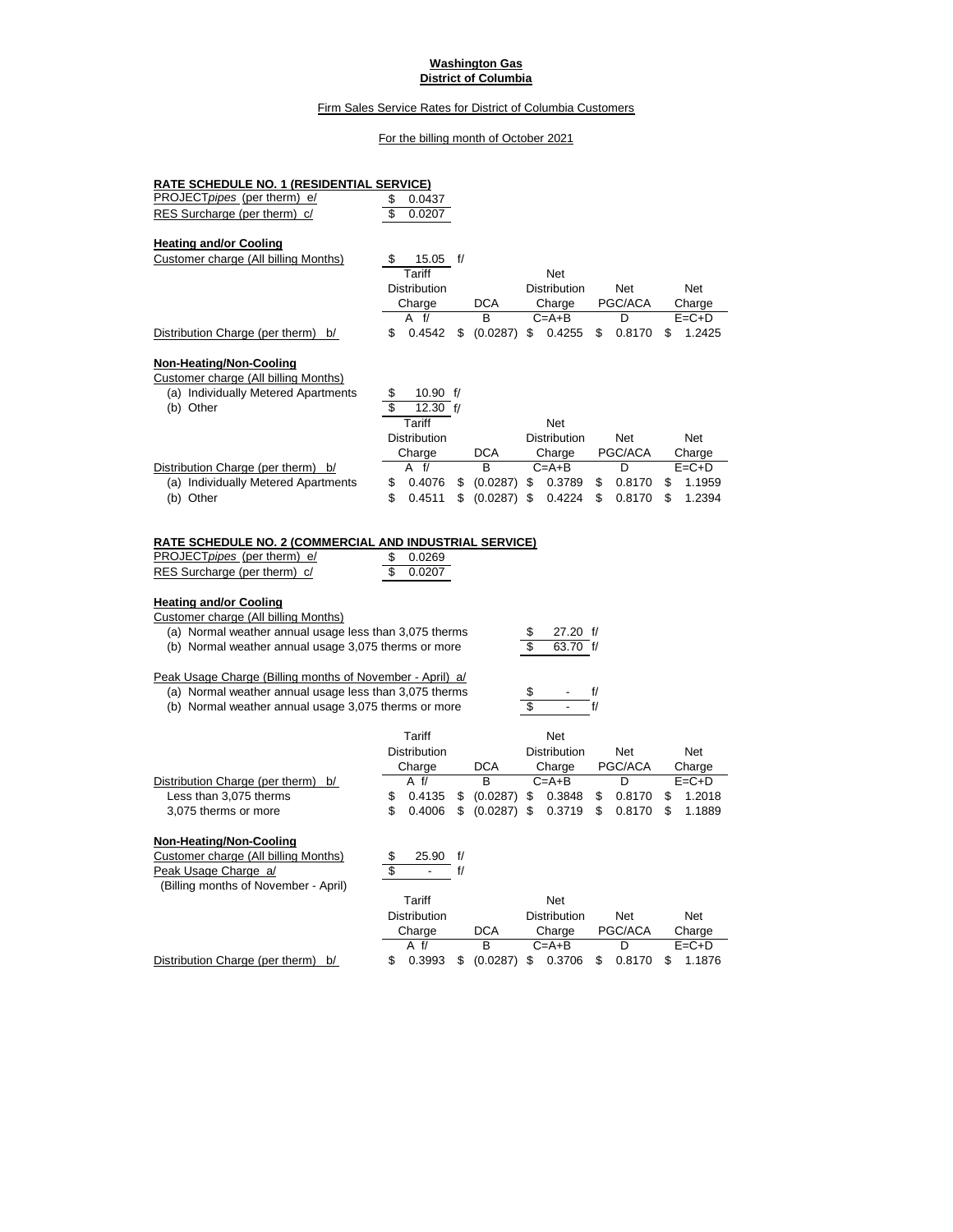#### **Washington Gas District of Columbia**

## Firm Sales Service Rates for District of Columbia Customers

# For the billing month of October 2021

| <u>RATE SCHEDULE NO. 1 (RESIDENTIAL SERVICE)</u>                                                                                                                                                                    |                           |                         |                |                      |              |              |
|---------------------------------------------------------------------------------------------------------------------------------------------------------------------------------------------------------------------|---------------------------|-------------------------|----------------|----------------------|--------------|--------------|
| <b>PROJECTpipes (per therm) e/</b>                                                                                                                                                                                  | \$<br>0.0437              |                         |                |                      |              |              |
| RES Surcharge (per therm) c/                                                                                                                                                                                        | \$<br>0.0207              |                         |                |                      |              |              |
| <b>Heating and/or Cooling</b>                                                                                                                                                                                       |                           |                         |                |                      |              |              |
| Customer charge (All billing Months)                                                                                                                                                                                | 15.05                     | t/                      |                |                      |              |              |
|                                                                                                                                                                                                                     | Tariff                    |                         |                | Net                  |              |              |
|                                                                                                                                                                                                                     | Distribution              |                         |                | Distribution         | Net          | Net          |
|                                                                                                                                                                                                                     | Charge                    |                         | DCA            | Charge               | PGC/ACA      | Charge       |
|                                                                                                                                                                                                                     | A<br>f/                   |                         | B              | $C = A + B$          | D            | $E = C + D$  |
| Distribution Charge (per therm) b/                                                                                                                                                                                  | \$<br>0.4542              |                         | \$ (0.0287) \$ | 0.4255               | \$<br>0.8170 | 1.2425<br>S  |
| Non-Heating/Non-Cooling                                                                                                                                                                                             |                           |                         |                |                      |              |              |
| Customer charge (All billing Months)                                                                                                                                                                                |                           |                         |                |                      |              |              |
| (a) Individually Metered Apartments                                                                                                                                                                                 | \$<br>10.90 $\frac{f}{f}$ |                         |                |                      |              |              |
| (b) Other                                                                                                                                                                                                           | 12.30 $f/$                |                         |                |                      |              |              |
|                                                                                                                                                                                                                     | Tariff                    |                         |                | Net                  |              |              |
|                                                                                                                                                                                                                     | Distribution              |                         |                | Distribution         | Net          | Net          |
|                                                                                                                                                                                                                     | Charge                    |                         | DCA            | Charge               | PGC/ACA      | Charge       |
| Distribution Charge (per therm) b/                                                                                                                                                                                  | A f/                      |                         | В              | $C = A + B$          | D            | $E = C + D$  |
| (a) Individually Metered Apartments                                                                                                                                                                                 | \$<br>0.4076              | \$                      | (0.0287)       | \$<br>0.3789         | \$<br>0.8170 | 1.1959<br>\$ |
| (b) Other                                                                                                                                                                                                           | \$<br>0.4511              | \$                      | $(0.0287)$ \$  | 0.4224               | \$<br>0.8170 | 1.2394<br>\$ |
|                                                                                                                                                                                                                     |                           |                         |                |                      |              |              |
| <u>RATE SCHEDULE NO. 2 (COMMERCIAL AND INDUSTRIAL SERVICE)</u>                                                                                                                                                      |                           |                         |                |                      |              |              |
| PROJECTpipes (per therm) e/                                                                                                                                                                                         | \$<br>0.0269              |                         |                |                      |              |              |
| RES Surcharge (per therm) c/                                                                                                                                                                                        | 0.0207                    |                         |                |                      |              |              |
| Customer charge (All billing Months)<br>(a) Normal weather annual usage less than 3,075 therms<br>(b) Normal weather annual usage 3,075 therms or more<br>Peak Usage Charge (Billing months of November - April) a/ |                           |                         |                | 27.20 f/<br>63.70 f/ |              |              |
|                                                                                                                                                                                                                     |                           |                         |                |                      | f/           |              |
| (a) Normal weather annual usage less than 3,075 therms<br>(b) Normal weather annual usage 3,075 therms or more                                                                                                      |                           |                         |                |                      | f/           |              |
|                                                                                                                                                                                                                     | Tariff                    |                         |                | Net                  |              |              |
|                                                                                                                                                                                                                     | Distribution              |                         |                | Distribution         | Net          | Net          |
|                                                                                                                                                                                                                     | Charge                    |                         | DCA            | Charge               | PGC/ACA      | Charge       |
| Distribution Charge (per therm)<br>b/                                                                                                                                                                               | A f/                      |                         | в              | $C = A + B$          | D            | $E = C + D$  |
| Less than 3,075 therms                                                                                                                                                                                              | \$<br>0.4135              | \$                      | (0.0287)       | 0.3848<br>\$         | 0.8170<br>\$ | 1.2018<br>\$ |
| 3,075 therms or more                                                                                                                                                                                                | \$<br>0.4006              |                         | \$ (0.0287) \$ | 0.3719               | \$<br>0.8170 | \$<br>1.1889 |
| Non-Heating/Non-Cooling                                                                                                                                                                                             |                           |                         |                |                      |              |              |
| Customer charge (All billing Months)                                                                                                                                                                                | \$<br>25.90 f/            |                         |                |                      |              |              |
| Peak Usage Charge a/                                                                                                                                                                                                | \$                        | $\mathsf{f}/\mathsf{f}$ |                |                      |              |              |
| (Billing months of November - April)                                                                                                                                                                                |                           |                         |                |                      |              |              |
|                                                                                                                                                                                                                     | Tariff                    |                         |                | Net                  |              |              |
|                                                                                                                                                                                                                     | Distribution              |                         |                | Distribution         | Net          | Net          |
|                                                                                                                                                                                                                     | Charge                    |                         | DCA            | Charge               | PGC/ACA      | Charge       |
|                                                                                                                                                                                                                     | A f/                      |                         | B              | C=A+B                | D            | $E = C + D$  |
| Distribution Charge (per therm) b/                                                                                                                                                                                  | \$<br>0.3993              | \$                      | $(0.0287)$ \$  | 0.3706               | 0.8170<br>\$ | 1.1876<br>\$ |
|                                                                                                                                                                                                                     |                           |                         |                |                      |              |              |
|                                                                                                                                                                                                                     |                           |                         |                |                      |              |              |
|                                                                                                                                                                                                                     |                           |                         |                |                      |              |              |